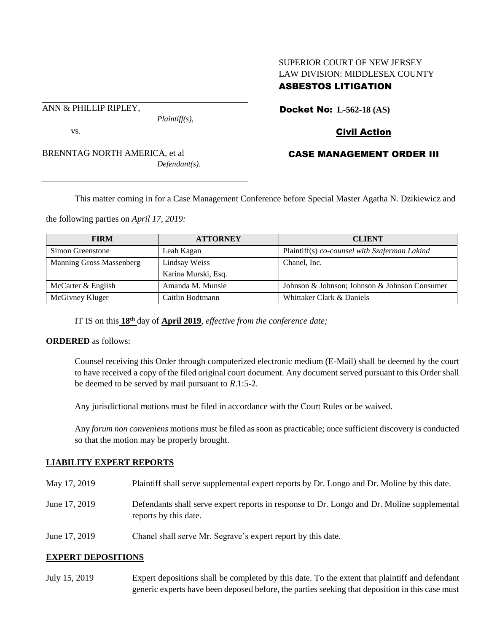# SUPERIOR COURT OF NEW JERSEY LAW DIVISION: MIDDLESEX COUNTY ASBESTOS LITIGATION

ANN & PHILLIP RIPLEY,

*Plaintiff(s),*

vs.

BRENNTAG NORTH AMERICA, et al *Defendant(s).* Docket No: **L-562-18 (AS)** 

# Civil Action

## CASE MANAGEMENT ORDER III

This matter coming in for a Case Management Conference before Special Master Agatha N. Dzikiewicz and

the following parties on *April 17, 2019:*

| <b>FIRM</b>                     | <b>ATTORNEY</b>     | <b>CLIENT</b>                                 |
|---------------------------------|---------------------|-----------------------------------------------|
| Simon Greenstone                | Leah Kagan          | Plaintiff(s) co-counsel with Szaferman Lakind |
| <b>Manning Gross Massenberg</b> | Lindsay Weiss       | Chanel, Inc.                                  |
|                                 | Karina Murski, Esq. |                                               |
| McCarter & English              | Amanda M. Munsie    | Johnson & Johnson; Johnson & Johnson Consumer |
| McGivney Kluger                 | Caitlin Bodtmann    | Whittaker Clark & Daniels                     |

IT IS on this **18th** day of **April 2019**, *effective from the conference date;*

#### **ORDERED** as follows:

Counsel receiving this Order through computerized electronic medium (E-Mail) shall be deemed by the court to have received a copy of the filed original court document. Any document served pursuant to this Order shall be deemed to be served by mail pursuant to *R*.1:5-2.

Any jurisdictional motions must be filed in accordance with the Court Rules or be waived.

Any *forum non conveniens* motions must be filed as soon as practicable; once sufficient discovery is conducted so that the motion may be properly brought.

#### **LIABILITY EXPERT REPORTS**

- May 17, 2019 Plaintiff shall serve supplemental expert reports by Dr. Longo and Dr. Moline by this date.
- June 17, 2019 Defendants shall serve expert reports in response to Dr. Longo and Dr. Moline supplemental reports by this date.
- June 17, 2019 Chanel shall serve Mr. Segrave's expert report by this date.

#### **EXPERT DEPOSITIONS**

July 15, 2019 Expert depositions shall be completed by this date. To the extent that plaintiff and defendant generic experts have been deposed before, the parties seeking that deposition in this case must